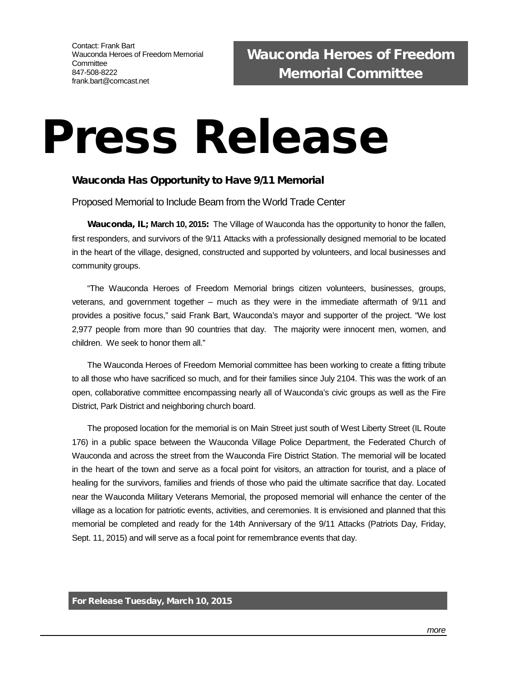## Press Release

## Wauconda Has Opportunity to Have 9/11 Memorial

Proposed Memorial to Include Beam from the World Trade Center

Wauconda, IL; **March 10, 2015**: The Village of Wauconda has the opportunity to honor the fallen, first responders, and survivors of the 9/11 Attacks with a professionally designed memorial to be located in the heart of the village, designed, constructed and supported by volunteers, and local businesses and community groups.

"The Wauconda Heroes of Freedom Memorial brings citizen volunteers, businesses, groups, veterans, and government together – much as they were in the immediate aftermath of 9/11 and provides a positive focus," said Frank Bart, Wauconda's mayor and supporter of the project. "We lost 2,977 people from more than 90 countries that day. The majority were innocent men, women, and children. We seek to honor them all."

The Wauconda Heroes of Freedom Memorial committee has been working to create a fitting tribute to all those who have sacrificed so much, and for their families since July 2104. This was the work of an open, collaborative committee encompassing nearly all of Wauconda's civic groups as well as the Fire District, Park District and neighboring church board.

The proposed location for the memorial is on Main Street just south of West Liberty Street (IL Route 176) in a public space between the Wauconda Village Police Department, the Federated Church of Wauconda and across the street from the Wauconda Fire District Station. The memorial will be located in the heart of the town and serve as a focal point for visitors, an attraction for tourist, and a place of healing for the survivors, families and friends of those who paid the ultimate sacrifice that day. Located near the Wauconda Military Veterans Memorial, the proposed memorial will enhance the center of the village as a location for patriotic events, activities, and ceremonies. It is envisioned and planned that this memorial be completed and ready for the 14th Anniversary of the 9/11 Attacks (Patriots Day, Friday, Sept. 11, 2015) and will serve as a focal point for remembrance events that day.

## For Release Tuesday, March 10, 2015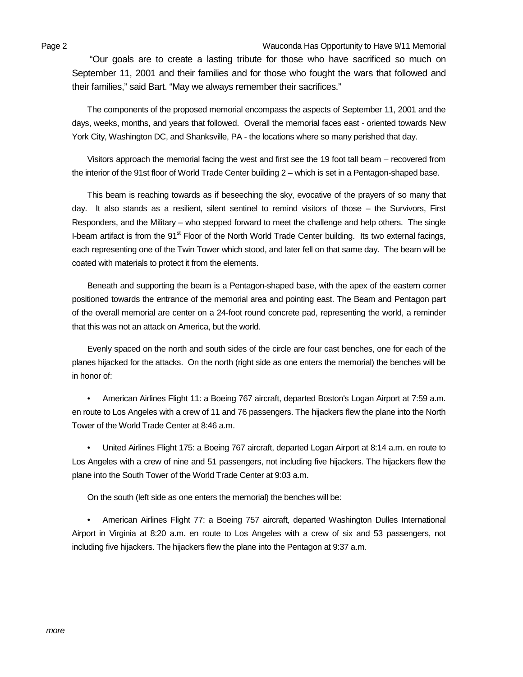Page 2 Wauconda Has Opportunity to Have 9/11 Memorial

"Our goals are to create a lasting tribute for those who have sacrificed so much on September 11, 2001 and their families and for those who fought the wars that followed and their families," said Bart. "May we always remember their sacrifices."

The components of the proposed memorial encompass the aspects of September 11, 2001 and the days, weeks, months, and years that followed. Overall the memorial faces east - oriented towards New York City, Washington DC, and Shanksville, PA - the locations where so many perished that day.

Visitors approach the memorial facing the west and first see the 19 foot tall beam – recovered from the interior of the 91st floor of World Trade Center building 2 – which is set in a Pentagon-shaped base.

This beam is reaching towards as if beseeching the sky, evocative of the prayers of so many that day. It also stands as a resilient, silent sentinel to remind visitors of those – the Survivors, First Responders, and the Military – who stepped forward to meet the challenge and help others. The single I-beam artifact is from the 91<sup>st</sup> Floor of the North World Trade Center building. Its two external facings, each representing one of the Twin Tower which stood, and later fell on that same day. The beam will be coated with materials to protect it from the elements.

Beneath and supporting the beam is a Pentagon-shaped base, with the apex of the eastern corner positioned towards the entrance of the memorial area and pointing east. The Beam and Pentagon part of the overall memorial are center on a 24-foot round concrete pad, representing the world, a reminder that this was not an attack on America, but the world.

Evenly spaced on the north and south sides of the circle are four cast benches, one for each of the planes hijacked for the attacks. On the north (right side as one enters the memorial) the benches will be in honor of:

• American Airlines Flight 11: a Boeing 767 aircraft, departed Boston's Logan Airport at 7:59 a.m. en route to Los Angeles with a crew of 11 and 76 passengers. The hijackers flew the plane into the North Tower of the World Trade Center at 8:46 a.m.

• United Airlines Flight 175: a Boeing 767 aircraft, departed Logan Airport at 8:14 a.m. en route to Los Angeles with a crew of nine and 51 passengers, not including five hijackers. The hijackers flew the plane into the South Tower of the World Trade Center at 9:03 a.m.

On the south (left side as one enters the memorial) the benches will be:

• American Airlines Flight 77: a Boeing 757 aircraft, departed Washington Dulles International Airport in Virginia at 8:20 a.m. en route to Los Angeles with a crew of six and 53 passengers, not including five hijackers. The hijackers flew the plane into the Pentagon at 9:37 a.m.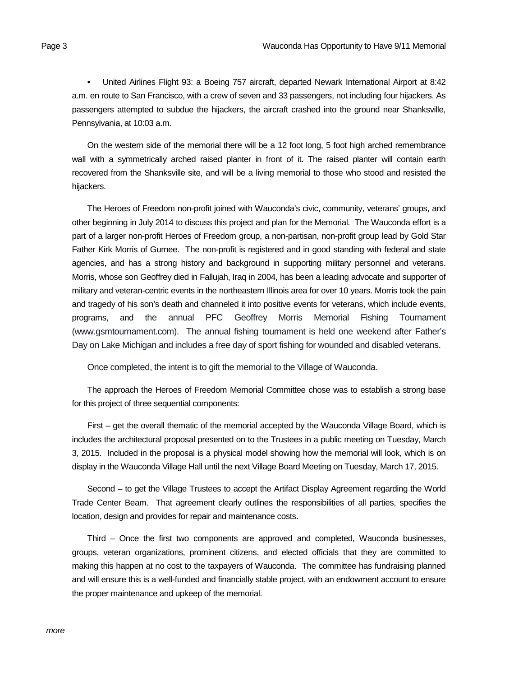• United Airlines Flight 93: a Boeing 757 aircraft, departed Newark International Airport at 8:42 a.m. en route to San Francisco, with a crew of seven and 33 passengers, not including four hijackers. As passengers attempted to subdue the hijackers, the aircraft crashed into the ground near Shanksville, Pennsylvania, at 10:03 a.m.

On the western side of the memorial there will be a 12 foot long, 5 foot high arched remembrance wall with a symmetrically arched raised planter in front of it. The raised planter will contain earth recovered from the Shanksville site, and will be a living memorial to those who stood and resisted the hijackers.

The Heroes of Freedom non-profit joined with Wauconda's civic, community, veterans' groups, and other beginning in July 2014 to discuss this project and plan for the Memorial. The Wauconda effort is a part of a larger non-profit Heroes of Freedom group, a non-partisan, non-profit group lead by Gold Star Father Kirk Morris of Gurnee. The non-profit is registered and in good standing with federal and state agencies, and has a strong history and background in supporting military personnel and veterans. Morris, whose son Geoffrey died in Fallujah, Iraq in 2004, has been a leading advocate and supporter of military and veteran-centric events in the northeastern Illinois area for over 10 years. Morris took the pain and tragedy of his son's death and channeled it into positive events for veterans, which include events, programs, and the annual PFC Geoffrey Morris Memorial Fishing Tournament (www.gsmtournament.com). The annual fishing tournament is held one weekend after Father's Day on Lake Michigan and includes a free day of sport fishing for wounded and disabled veterans.

Once completed, the intent is to gift the memorial to the Village of Wauconda.

The approach the Heroes of Freedom Memorial Committee chose was to establish a strong base for this project of three sequential components:

First – get the overall thematic of the memorial accepted by the Wauconda Village Board, which is includes the architectural proposal presented on to the Trustees in a public meeting on Tuesday, March 3, 2015. Included in the proposal is a physical model showing how the memorial will look, which is on display in the Wauconda Village Hall until the next Village Board Meeting on Tuesday, March 17, 2015.

Second – to get the Village Trustees to accept the Artifact Display Agreement regarding the World Trade Center Beam. That agreement clearly outlines the responsibilities of all parties, specifies the location, design and provides for repair and maintenance costs.

Third – Once the first two components are approved and completed, Wauconda businesses, groups, veteran organizations, prominent citizens, and elected officials that they are committed to making this happen at no cost to the taxpayers of Wauconda. The committee has fundraising planned and will ensure this is a well-funded and financially stable project, with an endowment account to ensure the proper maintenance and upkeep of the memorial.